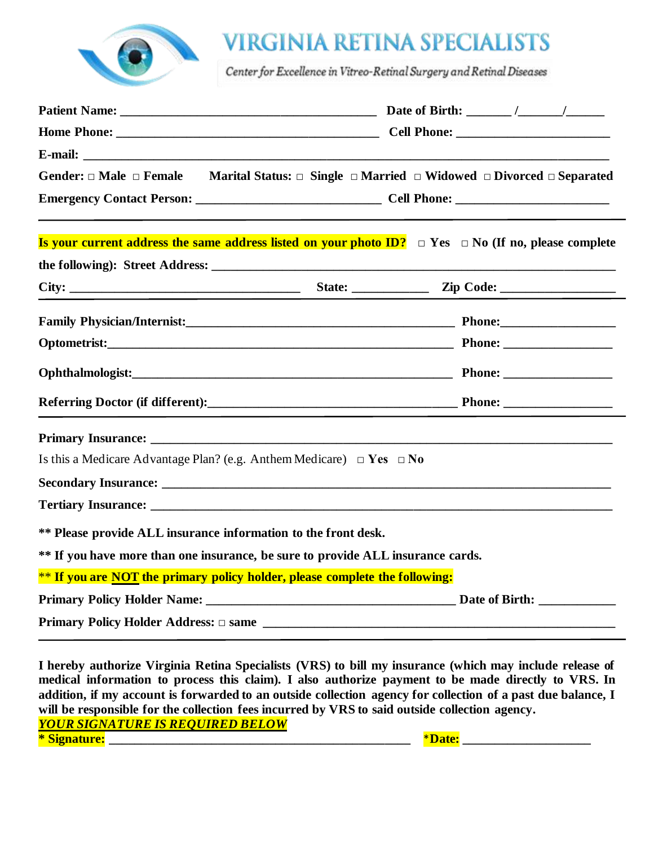

# **VIRGINIA RETINA SPECIALISTS**

Center for Excellence in Vitreo-Retinal Surgery and Retinal Diseases

| Gender: $\Box$ Male $\Box$ Female Marital Status: $\Box$ Single $\Box$ Married $\Box$ Widowed $\Box$ Divorced $\Box$ Separated                                                                                                 |  |  |  |
|--------------------------------------------------------------------------------------------------------------------------------------------------------------------------------------------------------------------------------|--|--|--|
|                                                                                                                                                                                                                                |  |  |  |
| <b>Is your current address the same address listed on your photo ID?</b> $\Box$ Yes $\Box$ No (If no, please complete                                                                                                          |  |  |  |
|                                                                                                                                                                                                                                |  |  |  |
|                                                                                                                                                                                                                                |  |  |  |
|                                                                                                                                                                                                                                |  |  |  |
| Optometrist: Phone: Phone: Phone: Phone: Phone: Phone: Phone: Phone: Phone: Phone: Phone: Phone: Phone: Phone: Phone: Phone: Phone: Phone: Phone: Phone: Phone: Phone: Phone: Phone: Phone: Phone: Phone: Phone: Phone: Phone: |  |  |  |
| Ophthalmologist: Phone: Phone:                                                                                                                                                                                                 |  |  |  |
|                                                                                                                                                                                                                                |  |  |  |
|                                                                                                                                                                                                                                |  |  |  |
| Is this a Medicare Advantage Plan? (e.g. Anthem Medicare) $\Box$ Yes $\Box$ No                                                                                                                                                 |  |  |  |
|                                                                                                                                                                                                                                |  |  |  |
|                                                                                                                                                                                                                                |  |  |  |
| ** Please provide ALL insurance information to the front desk.                                                                                                                                                                 |  |  |  |
| ** If you have more than one insurance, be sure to provide ALL insurance cards.                                                                                                                                                |  |  |  |
| ** If you are NOT the primary policy holder, please complete the following:                                                                                                                                                    |  |  |  |
|                                                                                                                                                                                                                                |  |  |  |
|                                                                                                                                                                                                                                |  |  |  |

**I hereby authorize Virginia Retina Specialists (VRS) to bill my insurance (which may include release of medical information to process this claim). I also authorize payment to be made directly to VRS. In addition, if my account is forwarded to an outside collection agency for collection of a past due balance, I will be responsible for the collection fees incurred by VRS to said outside collection agency***. YOUR SIGNATURE IS REQUIRED BELOW* **\* Signature: \_\_\_\_\_\_\_\_\_\_\_\_\_\_\_\_\_\_\_\_\_\_\_\_\_\_\_\_\_\_\_\_\_\_\_\_\_\_\_\_\_\_\_\_\_\_\_** \***Date: \_\_\_\_\_\_\_\_\_\_\_\_\_\_\_\_\_\_\_\_**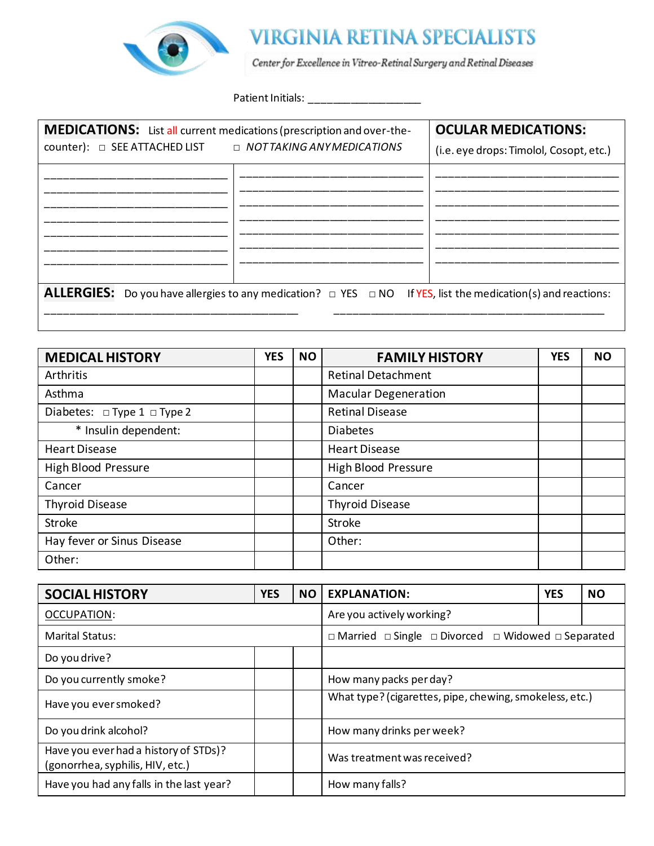

| <b>MEDICATIONS:</b> List all current medications (prescription and over-the-                                           | <b>OCULAR MEDICATIONS:</b> |                                         |  |  |  |
|------------------------------------------------------------------------------------------------------------------------|----------------------------|-----------------------------------------|--|--|--|
| COUNTER COUNTER THE SEE ATTACHED LIST DEMOTTAKING ANY MEDICATIONS                                                      |                            | (i.e. eye drops: Timolol, Cosopt, etc.) |  |  |  |
|                                                                                                                        |                            |                                         |  |  |  |
|                                                                                                                        |                            |                                         |  |  |  |
|                                                                                                                        |                            |                                         |  |  |  |
|                                                                                                                        |                            |                                         |  |  |  |
|                                                                                                                        |                            |                                         |  |  |  |
| ALLERGIES: Do you have allergies to any medication? $\Box$ YES $\Box$ NO If YES, list the medication(s) and reactions: |                            |                                         |  |  |  |
|                                                                                                                        |                            |                                         |  |  |  |

| <b>MEDICAL HISTORY</b>                | <b>YES</b> | <b>NO</b> | <b>FAMILY HISTORY</b>       | <b>YES</b> | <b>NO</b> |
|---------------------------------------|------------|-----------|-----------------------------|------------|-----------|
| Arthritis                             |            |           | <b>Retinal Detachment</b>   |            |           |
| Asthma                                |            |           | <b>Macular Degeneration</b> |            |           |
| Diabetes: $\Box$ Type 1 $\Box$ Type 2 |            |           | <b>Retinal Disease</b>      |            |           |
| * Insulin dependent:                  |            |           | <b>Diabetes</b>             |            |           |
| <b>Heart Disease</b>                  |            |           | <b>Heart Disease</b>        |            |           |
| <b>High Blood Pressure</b>            |            |           | High Blood Pressure         |            |           |
| Cancer                                |            |           | Cancer                      |            |           |
| <b>Thyroid Disease</b>                |            |           | <b>Thyroid Disease</b>      |            |           |
| Stroke                                |            |           | <b>Stroke</b>               |            |           |
| Hay fever or Sinus Disease            |            |           | Other:                      |            |           |
| Other:                                |            |           |                             |            |           |

| <b>SOCIAL HISTORY</b>                                                     | <b>YES</b> | <b>NO</b> | <b>EXPLANATION:</b>                                                          | <b>YES</b> | <b>NO</b> |
|---------------------------------------------------------------------------|------------|-----------|------------------------------------------------------------------------------|------------|-----------|
| OCCUPATION:                                                               |            |           | Are you actively working?                                                    |            |           |
| <b>Marital Status:</b>                                                    |            |           | $\Box$ Married $\Box$ Single $\Box$ Divorced $\Box$ Widowed $\Box$ Separated |            |           |
| Do you drive?                                                             |            |           |                                                                              |            |           |
| Do you currently smoke?                                                   |            |           | How many packs per day?                                                      |            |           |
| Have you ever smoked?                                                     |            |           | What type? (cigarettes, pipe, chewing, smokeless, etc.)                      |            |           |
| Do you drink alcohol?                                                     |            |           | How many drinks per week?                                                    |            |           |
| Have you ever had a history of STDs)?<br>(gonorrhea, syphilis, HIV, etc.) |            |           | Was treatment was received?                                                  |            |           |
| Have you had any falls in the last year?                                  |            |           | How many falls?                                                              |            |           |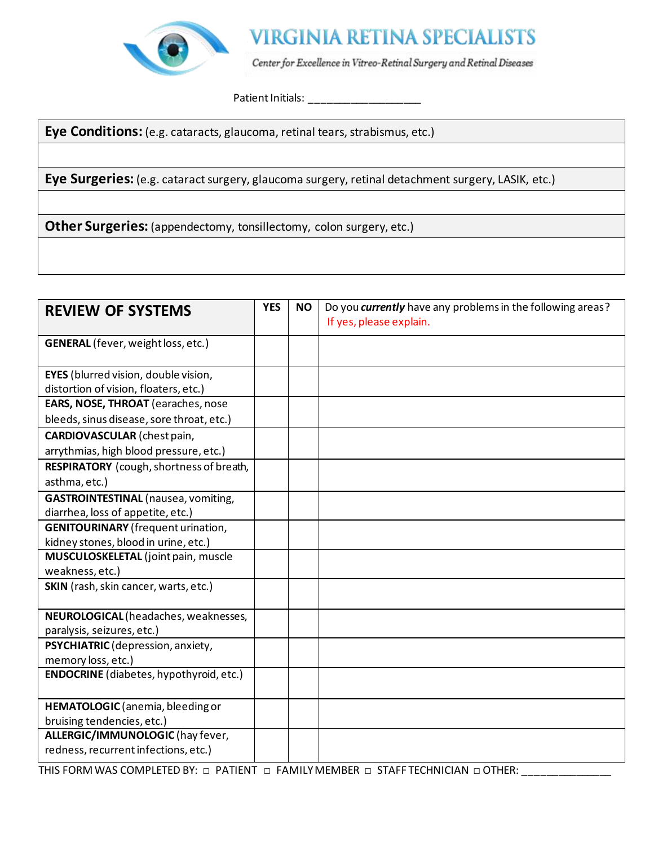

**Eye Conditions:** (e.g. cataracts, glaucoma, retinal tears, strabismus, etc.)

**Eye Surgeries:** (e.g. cataract surgery, glaucoma surgery, retinal detachment surgery, LASIK, etc.)

**Other Surgeries:** (appendectomy, tonsillectomy, colon surgery, etc.)

| <b>REVIEW OF SYSTEMS</b>                       | <b>YES</b> | <b>NO</b> | Do you currently have any problems in the following areas?<br>If yes, please explain. |
|------------------------------------------------|------------|-----------|---------------------------------------------------------------------------------------|
| <b>GENERAL</b> (fever, weight loss, etc.)      |            |           |                                                                                       |
| <b>EYES</b> (blurred vision, double vision,    |            |           |                                                                                       |
| distortion of vision, floaters, etc.)          |            |           |                                                                                       |
| EARS, NOSE, THROAT (earaches, nose             |            |           |                                                                                       |
| bleeds, sinus disease, sore throat, etc.)      |            |           |                                                                                       |
| <b>CARDIOVASCULAR</b> (chest pain,             |            |           |                                                                                       |
| arrythmias, high blood pressure, etc.)         |            |           |                                                                                       |
| RESPIRATORY (cough, shortness of breath,       |            |           |                                                                                       |
| asthma, etc.)                                  |            |           |                                                                                       |
| <b>GASTROINTESTINAL</b> (nausea, vomiting,     |            |           |                                                                                       |
| diarrhea, loss of appetite, etc.)              |            |           |                                                                                       |
| <b>GENITOURINARY</b> (frequent urination,      |            |           |                                                                                       |
| kidney stones, blood in urine, etc.)           |            |           |                                                                                       |
| MUSCULOSKELETAL (joint pain, muscle            |            |           |                                                                                       |
| weakness, etc.)                                |            |           |                                                                                       |
| SKIN (rash, skin cancer, warts, etc.)          |            |           |                                                                                       |
| NEUROLOGICAL (headaches, weaknesses,           |            |           |                                                                                       |
| paralysis, seizures, etc.)                     |            |           |                                                                                       |
| PSYCHIATRIC (depression, anxiety,              |            |           |                                                                                       |
| memory loss, etc.)                             |            |           |                                                                                       |
| <b>ENDOCRINE</b> (diabetes, hypothyroid, etc.) |            |           |                                                                                       |
| HEMATOLOGIC (anemia, bleeding or               |            |           |                                                                                       |
| bruising tendencies, etc.)                     |            |           |                                                                                       |
| ALLERGIC/IMMUNOLOGIC (hay fever,               |            |           |                                                                                       |
| redness, recurrent infections, etc.)           |            |           |                                                                                       |

THIS FORM WAS COMPLETED BY: □ PATIENT □ FAMILY MEMBER □ STAFF TECHNICIAN □ OTHER: \_\_\_\_\_\_\_\_\_\_\_\_\_\_\_\_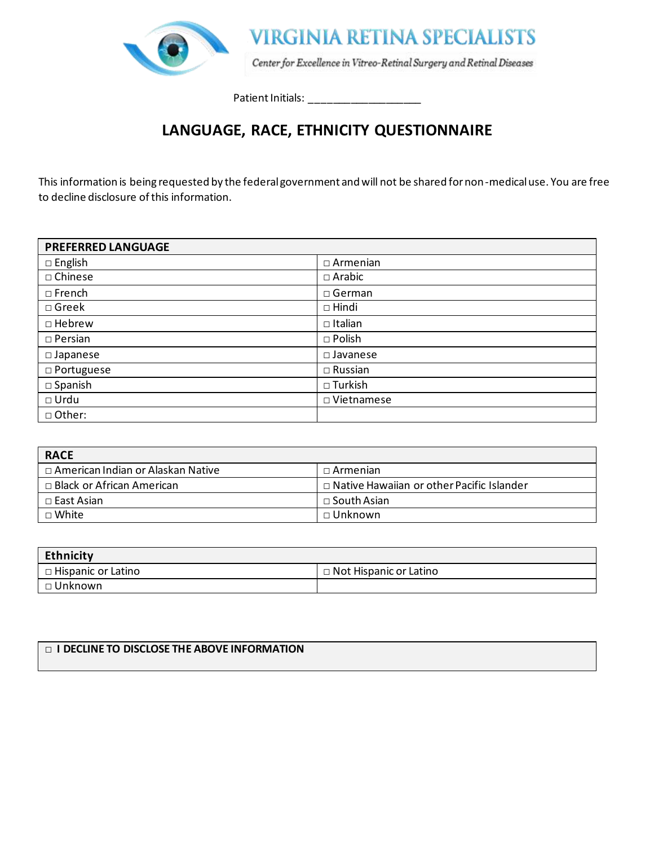

## **LANGUAGE, RACE, ETHNICITY QUESTIONNAIRE**

This information is being requested by the federal government and will not be shared for non-medical use. You are free to decline disclosure of this information.

| <b>PREFERRED LANGUAGE</b> |                    |
|---------------------------|--------------------|
| $\Box$ English            | $\Box$ Armenian    |
| □ Chinese                 | $\Box$ Arabic      |
| $\Box$ French             | $\square$ German   |
| $\Box$ Greek              | $\Box$ Hindi       |
| $\Box$ Hebrew             | $\Box$ Italian     |
| $\square$ Persian         | $\square$ Polish   |
| $\square$ Japanese        | $\square$ Javanese |
| □ Portuguese              | $\Box$ Russian     |
| $\square$ Spanish         | $\square$ Turkish  |
| $\Box$ Urdu               | □ Vietnamese       |
| □ Other:                  |                    |

| <b>RACE</b>                         |                                             |
|-------------------------------------|---------------------------------------------|
| □ American Indian or Alaskan Native | $\Box$ Armenian                             |
| $\Box$ Black or African American    | □ Native Hawaiian or other Pacific Islander |
| □ East Asian                        | $\Box$ South Asian                          |
| $\sqcap$ White                      | $\sqcap$ Unknown                            |

| <b>Ethnicity</b>                  |                               |
|-----------------------------------|-------------------------------|
| $\blacksquare$ Hispanic or Latino | $\Box$ Not Hispanic or Latino |
| □ Unknown                         |                               |

### □ **I DECLINE TO DISCLOSE THE ABOVE INFORMATION**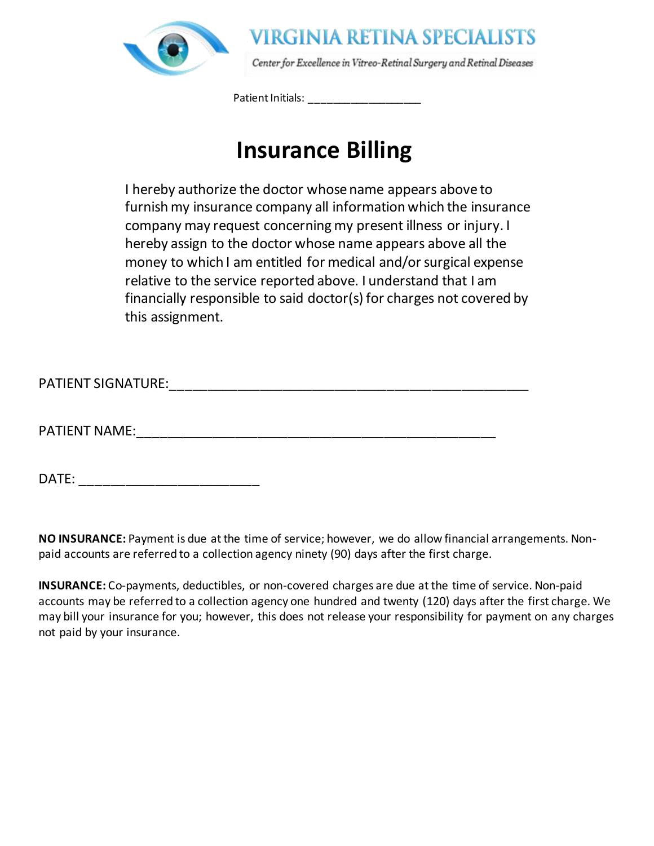

# **Insurance Billing**

I hereby authorize the doctor whose name appears above to furnish my insurance company all information which the insurance company may request concerning my present illness or injury. I hereby assign to the doctor whose name appears above all the money to which I am entitled for medical and/or surgical expense relative to the service reported above. I understand that I am financially responsible to said doctor(s) for charges not covered by this assignment.

PATIENT SIGNATURE:\_\_\_\_\_\_\_\_\_\_\_\_\_\_\_\_\_\_\_\_\_\_\_\_\_\_\_\_\_\_\_\_\_\_\_\_\_\_\_\_\_\_\_\_\_\_\_\_

PATIENT NAME:\_\_\_\_\_\_\_\_\_\_\_\_\_\_\_\_\_\_\_\_\_\_\_\_\_\_\_\_\_\_\_\_\_\_\_\_\_\_\_\_\_\_\_\_\_\_\_\_

DATE: \_\_\_\_\_\_\_\_\_\_\_\_\_\_\_\_\_\_\_\_\_\_\_\_

**NO INSURANCE:** Payment is due at the time of service; however, we do allow financial arrangements. Nonpaid accounts are referred to a collection agency ninety (90) days after the first charge.

**INSURANCE:** Co-payments, deductibles, or non-covered charges are due at the time of service. Non-paid accounts may be referred to a collection agency one hundred and twenty (120) days after the first charge. We may bill your insurance for you; however, this does not release your responsibility for payment on any charges not paid by your insurance.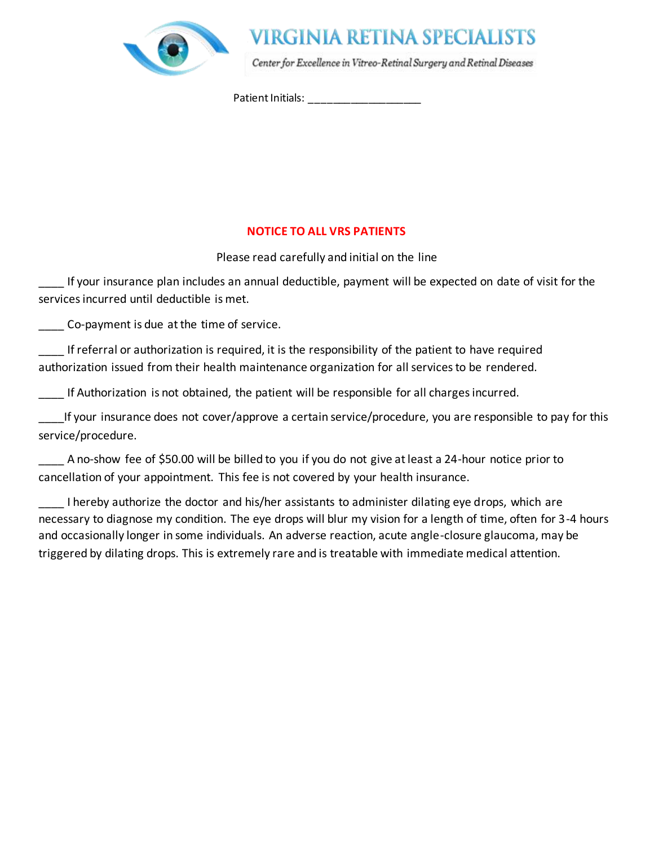

## VIRGINIA RETINA SPECIALISTS

Center for Excellence in Vitreo-Retinal Surgery and Retinal Diseases

Patient Initials: \_\_\_\_\_\_\_\_\_\_\_\_\_\_\_\_\_\_\_

### **NOTICE TO ALL VRS PATIENTS**

Please read carefully and initial on the line

If your insurance plan includes an annual deductible, payment will be expected on date of visit for the services incurred until deductible is met.

\_\_\_\_ Co-payment is due at the time of service.

If referral or authorization is required, it is the responsibility of the patient to have required authorization issued from their health maintenance organization for all services to be rendered.

If Authorization is not obtained, the patient will be responsible for all charges incurred.

If your insurance does not cover/approve a certain service/procedure, you are responsible to pay for this service/procedure.

A no-show fee of \$50.00 will be billed to you if you do not give at least a 24-hour notice prior to cancellation of your appointment. This fee is not covered by your health insurance.

I hereby authorize the doctor and his/her assistants to administer dilating eye drops, which are necessary to diagnose my condition. The eye drops will blur my vision for a length of time, often for 3-4 hours and occasionally longer in some individuals. An adverse reaction, acute angle-closure glaucoma, may be triggered by dilating drops. This is extremely rare and is treatable with immediate medical attention.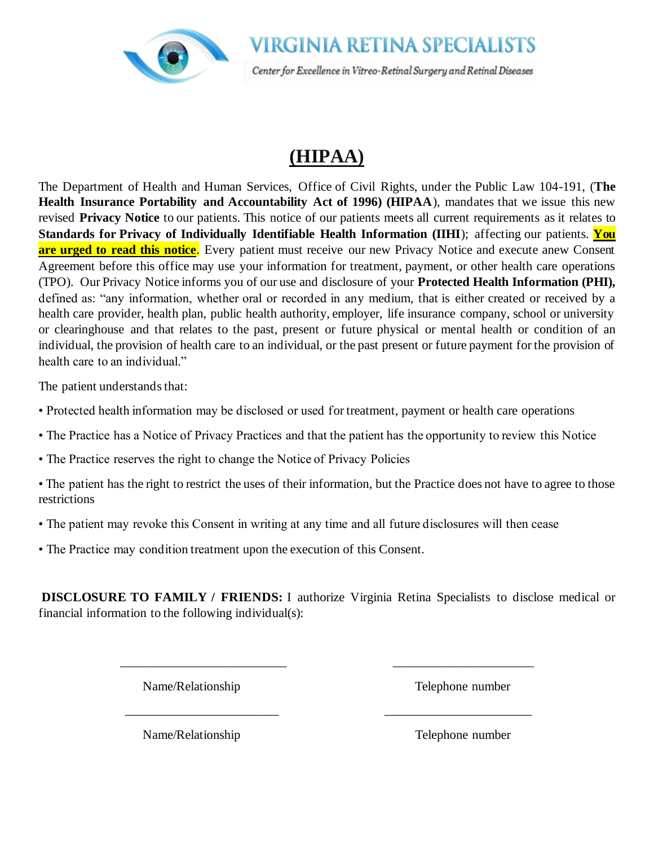

# **(HIPAA)**

The Department of Health and Human Services, Office of Civil Rights, under the Public Law 104-191, (**The Health Insurance Portability and Accountability Act of 1996) (HIPAA**), mandates that we issue this new revised **Privacy Notice** to our patients. This notice of our patients meets all current requirements as it relates to **Standards for Privacy of Individually Identifiable Health Information (IIHI**); affecting our patients. **You are urged to read this notice**. Every patient must receive our new Privacy Notice and execute anew Consent Agreement before this office may use your information for treatment, payment, or other health care operations (TPO). Our Privacy Notice informs you of our use and disclosure of your **Protected Health Information (PHI),**  defined as: "any information, whether oral or recorded in any medium, that is either created or received by a health care provider, health plan, public health authority, employer, life insurance company, school or university or clearinghouse and that relates to the past, present or future physical or mental health or condition of an individual, the provision of health care to an individual, or the past present or future payment for the provision of health care to an individual."

The patient understands that:

- Protected health information may be disclosed or used for treatment, payment or health care operations
- The Practice has a Notice of Privacy Practices and that the patient has the opportunity to review this Notice
- The Practice reserves the right to change the Notice of Privacy Policies
- The patient has the right to restrict the uses of their information, but the Practice does not have to agree to those restrictions
- The patient may revoke this Consent in writing at any time and all future disclosures will then cease
- The Practice may condition treatment upon the execution of this Consent.

**DISCLOSURE TO FAMILY / FRIENDS:** I authorize Virginia Retina Specialists to disclose medical or financial information to the following individual(s):

\_\_\_\_\_\_\_\_\_\_\_\_\_\_\_\_\_\_\_\_\_\_\_\_\_\_ \_\_\_\_\_\_\_\_\_\_\_\_\_\_\_\_\_\_\_\_\_\_

\_\_\_\_\_\_\_\_\_\_\_\_\_\_\_\_\_\_\_\_\_\_\_\_ \_\_\_\_\_\_\_\_\_\_\_\_\_\_\_\_\_\_\_\_\_\_\_

Name/Relationship Telephone number

Name/Relationship Telephone number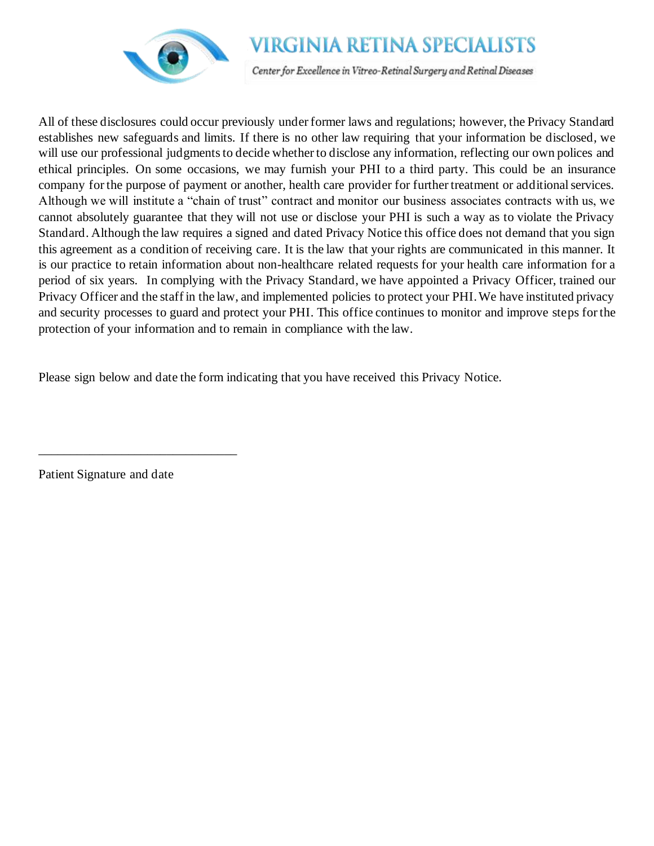

## **VIRGINIA RETINA SPECIALISTS**

Center for Excellence in Vitreo-Retinal Surgery and Retinal Diseases

All of these disclosures could occur previously under former laws and regulations; however, the Privacy Standard establishes new safeguards and limits. If there is no other law requiring that your information be disclosed, we will use our professional judgments to decide whether to disclose any information, reflecting our own polices and ethical principles. On some occasions, we may furnish your PHI to a third party. This could be an insurance company for the purpose of payment or another, health care provider for further treatment or additional services. Although we will institute a "chain of trust" contract and monitor our business associates contracts with us, we cannot absolutely guarantee that they will not use or disclose your PHI is such a way as to violate the Privacy Standard. Although the law requires a signed and dated Privacy Notice this office does not demand that you sign this agreement as a condition of receiving care. It is the law that your rights are communicated in this manner. It is our practice to retain information about non-healthcare related requests for your health care information for a period of six years. In complying with the Privacy Standard, we have appointed a Privacy Officer, trained our Privacy Officer and the staff in the law, and implemented policies to protect your PHI. We have instituted privacy and security processes to guard and protect your PHI. This office continues to monitor and improve steps for the protection of your information and to remain in compliance with the law.

Please sign below and date the form indicating that you have received this Privacy Notice.

Patient Signature and date

\_\_\_\_\_\_\_\_\_\_\_\_\_\_\_\_\_\_\_\_\_\_\_\_\_\_\_\_\_\_\_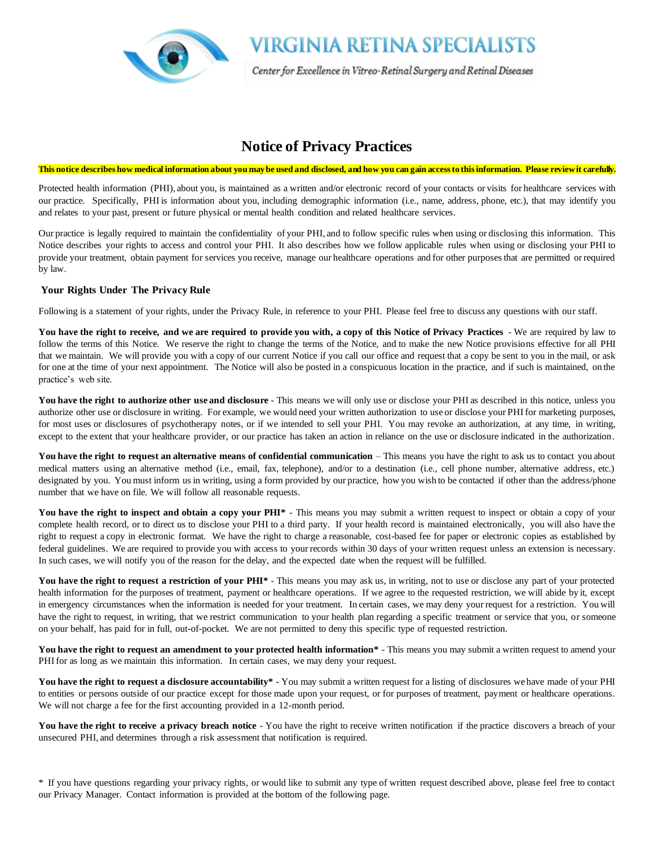

### **Notice of Privacy Practices**

#### **This notice describes how medical information about you may be used and disclosed, and how you can gain access to this information. Please review it carefully.**

Protected health information (PHI), about you, is maintained as a written and/or electronic record of your contacts or visits for healthcare services with our practice. Specifically, PHI is information about you, including demographic information (i.e., name, address, phone, etc.), that may identify you and relates to your past, present or future physical or mental health condition and related healthcare services.

Our practice is legally required to maintain the confidentiality of your PHI, and to follow specific rules when using or disclosing this information. This Notice describes your rights to access and control your PHI. It also describes how we follow applicable rules when using or disclosing your PHI to provide your treatment, obtain payment for services you receive, manage our healthcare operations and for other purposes that are permitted or required by law.

#### **Your Rights Under The Privacy Rule**

Following is a statement of your rights, under the Privacy Rule, in reference to your PHI. Please feel free to discuss any questions with our staff.

**You have the right to receive, and we are required to provide you with, a copy of this Notice of Privacy Practices** - We are required by law to follow the terms of this Notice. We reserve the right to change the terms of the Notice, and to make the new Notice provisions effective for all PHI that we maintain. We will provide you with a copy of our current Notice if you call our office and request that a copy be sent to you in the mail, or ask for one at the time of your next appointment. The Notice will also be posted in a conspicuous location in the practice, and if such is maintained, on the practice's web site.

You have the right to authorize other use and disclosure - This means we will only use or disclose your PHI as described in this notice, unless you authorize other use or disclosure in writing. For example, we would need your written authorization to use or disclose your PHI for marketing purposes, for most uses or disclosures of psychotherapy notes, or if we intended to sell your PHI. You may revoke an authorization, at any time, in writing, except to the extent that your healthcare provider, or our practice has taken an action in reliance on the use or disclosure indicated in the authorization.

**You have the right to request an alternative means of confidential communication** – This means you have the right to ask us to contact you about medical matters using an alternative method (i.e., email, fax, telephone), and/or to a destination (i.e., cell phone number, alternative address, etc.) designated by you. You must inform us in writing, using a form provided by our practice, how you wish to be contacted if other than the address/phone number that we have on file. We will follow all reasonable requests.

You have the right to inspect and obtain a copy your PHI<sup>\*</sup> - This means you may submit a written request to inspect or obtain a copy of your complete health record, or to direct us to disclose your PHI to a third party. If your health record is maintained electronically, you will also have the right to request a copy in electronic format. We have the right to charge a reasonable, cost-based fee for paper or electronic copies as established by federal guidelines. We are required to provide you with access to your records within 30 days of your written request unless an extension is necessary. In such cases, we will notify you of the reason for the delay, and the expected date when the request will be fulfilled.

You have the right to request a restriction of your PHI<sup>\*</sup> - This means you may ask us, in writing, not to use or disclose any part of your protected health information for the purposes of treatment, payment or healthcare operations. If we agree to the requested restriction, we will abide by it, except in emergency circumstances when the information is needed for your treatment. In certain cases, we may deny your request for a restriction. You will have the right to request, in writing, that we restrict communication to your health plan regarding a specific treatment or service that you, or someone on your behalf, has paid for in full, out-of-pocket. We are not permitted to deny this specific type of requested restriction.

You have the right to request an amendment to your protected health information<sup>\*</sup> - This means you may submit a written request to amend your PHI for as long as we maintain this information. In certain cases, we may deny your request.

You have the right to request a disclosure accountability\* - You may submit a written request for a listing of disclosures we have made of your PHI to entities or persons outside of our practice except for those made upon your request, or for purposes of treatment, payment or healthcare operations. We will not charge a fee for the first accounting provided in a 12-month period.

You have the right to receive a privacy breach notice - You have the right to receive written notification if the practice discovers a breach of your unsecured PHI, and determines through a risk assessment that notification is required.

\* If you have questions regarding your privacy rights, or would like to submit any type of written request described above, please feel free to contact our Privacy Manager. Contact information is provided at the bottom of the following page.